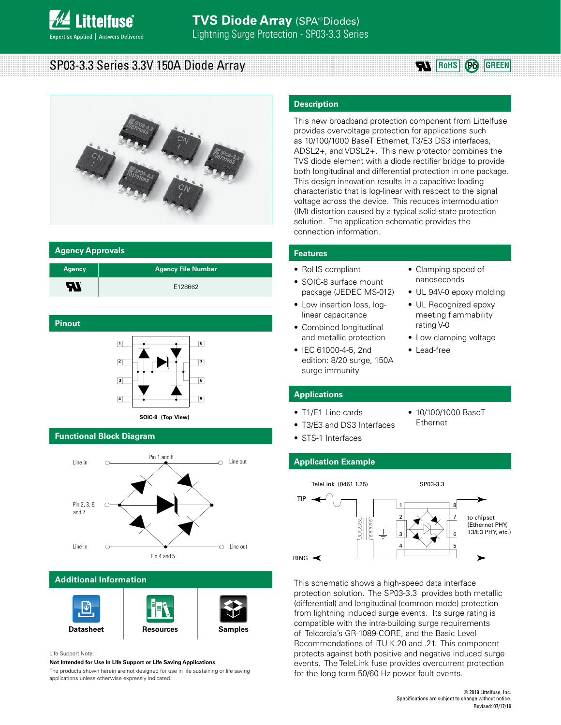

# SP03-3.3 Series 3.3V 150A Diode Array





### **Agency Approvals**

| <b>Agency</b> | <b>Agency File Number</b> |
|---------------|---------------------------|
| <b>R</b>      | E128662                   |

### **Pinout**



### **Functional Block Diagram**



### **Additional Information**





Life Support Note:

**Not Intended for Use in Life Support or Life Saving Applications**

The products shown herein are not designed for use in life sustaining or life saving applications unless otherwise expressly indicated.

### **Description**

This new broadband protection component from Littelfuse provides overvoltage protection for applications such as 10/100/1000 BaseT Ethernet, T3/E3 DS3 interfaces, ADSL2+, and VDSL2+. This new protector combines the TVS diode element with a diode rectifier bridge to provide both longitudinal and differential protection in one package. This design innovation results in a capacitive loading characteristic that is log-linear with respect to the signal voltage across the device. This reduces intermodulation (IM) distortion caused by a typical solid-state protection solution. The application schematic provides the connection information.

### **Features**

- RoHS compliant
- SOIC-8 surface mount package (JEDEC MS-012)
- Low insertion loss, loglinear capacitance
- Combined longitudinal and metallic protection
- IEC 61000-4-5, 2nd edition: 8/20 surge, 150A surge immunity
- Clamping speed of nanoseconds
- UL 94V-0 epoxy molding
- UL Recognized epoxy meeting flammability rating V-0
- Low clamping voltage

• 10/100/1000 BaseT

• Lead-free

### **Applications**

- T1/E1 Line cards
- T3/E3 and DS3 Interfaces Ethernet **SOIC-8 (Top View)**
	- STS-1 Interfaces

### **Application Example**



This schematic shows a high-speed data interface protection solution. The SP03-3.3 provides both metallic (differential) and longitudinal (common mode) protection from lightning induced surge events. Its surge rating is compatible with the intra-building surge requirements of Telcordia's GR-1089-CORE, and the Basic Level Recommendations of ITU K.20 and .21. This component protects against both positive and negative induced surge events. The TeleLink fuse provides overcurrent protection for the long term 50/60 Hz power fault events.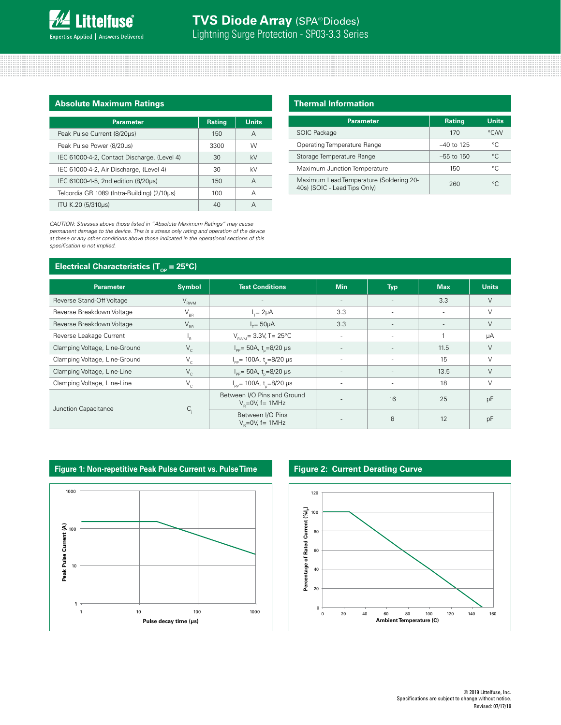

# **TVS Diode Array** (SPA® Diodes) Lightning Surge Protection - SP03-3.3 Series

### **Absolute Maximum Ratings**

| <b>Parameter</b>                            | <b>Rating</b> | <b>Units</b> |
|---------------------------------------------|---------------|--------------|
| Peak Pulse Current (8/20µs)                 | 150           | А            |
| Peak Pulse Power (8/20µs)                   | 3300          | W            |
| IEC 61000-4-2, Contact Discharge, (Level 4) | 30            | kV           |
| IEC 61000-4-2, Air Discharge, (Level 4)     | 30            | kV           |
| IEC 61000-4-5, 2nd edition (8/20µs)         | 150           | А            |
| Telcordia GR 1089 (Intra-Building) (2/10µs) | 100           | А            |
| ITU K.20 (5/310µs)                          | 40            |              |

*CAUTION: Stresses above those listed in "Absolute Maximum Ratings" may cause permanent damage to the device. This is a stress only rating and operation of the device at these or any other conditions above those indicated in the operational sections of this specification is not implied.*

### **Electrical Characteristics (T<sub>op</sub> = 25°C)**

| <b>Thermal Information</b>                                              |               |              |  |
|-------------------------------------------------------------------------|---------------|--------------|--|
| <b>Parameter</b>                                                        | <b>Rating</b> | <b>Units</b> |  |
| <b>SOIC Package</b>                                                     | 170           | °CM          |  |
| Operating Temperature Range                                             | $-40$ to 125  | °C.          |  |
| Storage Temperature Range                                               | $-55$ to 150  | °C.          |  |
| Maximum Junction Temperature                                            | 150           | °C.          |  |
| Maximum Lead Temperature (Soldering 20-<br>40s) (SOIC - Lead Tips Only) | 260           | $^{\circ}$ C |  |

### **Parameter Symbol Test Conditions Min Typ Max Units** Reverse Stand-Off Voltage VRWM - - - 3.3 V Reverse Breakdown Voltage  $V_{\text{BR}}$  $I_{\tau} = 2\mu A$ = 2µA 3.3 - - V Reverse Breakdown Voltage  $V_{BR}$  $I_r = 50 \mu A$ = 50µA 3.3 - - V Reverse Leakage Current  $I_R$  $V_{\text{RWM}} = 3.3V$ , T = 25°C  $|$  -  $|$  -  $|$  1  $|$   $\mu$ A Clamping Voltage, Line-Ground  $V_c$ <sub>PP</sub>= 50A, t<sub>p</sub>=8/20 μs | - | - | 11.5 | V Clamping Voltage, Line-Ground  $V_c$ <sub>pp</sub>= 100A, t<sub>p</sub>=8/20 μs | - - | 15 | V Clamping Voltage, Line-Line  $V_c$ <sub>PP</sub>= 50A, t<sub>p</sub>=8/20 μs | - | - | 13.5 | V Clamping Voltage, Line-Line  $V_c$ <sub>pp</sub>= 100A, t<sub>p</sub>=8/20 µs | - | - | 18 | V Junction Capacitance C<sub>j</sub> Between I/O Pins and Ground  $V_s$ =0V, f= 1MHz  $V_s$ =0V, f= 1MHz Between I/O Pins Between I/O Pins<br>  $V_{\rm R}$ =0V, f= 1MHz  $V_{\rm R}$  12 | pF



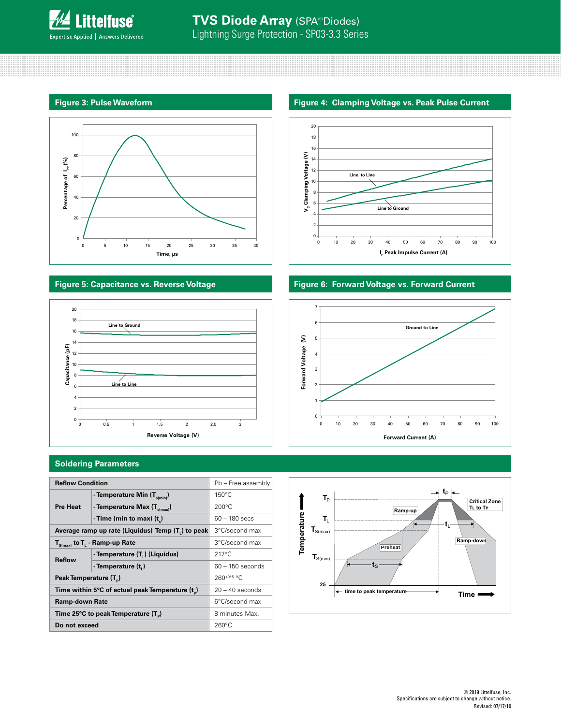

### **Figure 3: Pulse Waveform**



## **Figure 5: Capacitance vs. Reverse Voltage**



### **Soldering Parameters**

| <b>Reflow Condition</b>                                        |                                  | Pb - Free assembly |
|----------------------------------------------------------------|----------------------------------|--------------------|
|                                                                | - Temperature Min $(T_{s(min)})$ | $150^{\circ}$ C    |
| <b>Pre Heat</b>                                                | - Temperature Max $(T_{s(max)})$ | $200^{\circ}$ C    |
|                                                                | - Time (min to max) $(tn)$       | $60 - 180$ secs    |
| Average ramp up rate (Liquidus) Temp (T <sub>1</sub> ) to peak |                                  | 3°C/second max     |
| $T_{\text{S(max)}}$ to $T_{L}$ - Ramp-up Rate                  |                                  | 3°C/second max     |
| <b>Reflow</b>                                                  | - Temperature (T.) (Liquidus)    | $217^{\circ}$ C    |
|                                                                | - Temperature (t.)               | $60 - 150$ seconds |
| Peak Temperature (T <sub>n</sub> )                             |                                  | $260^{+0/5}$ °C    |
| Time within 5°C of actual peak Temperature (t <sub>p</sub> )   |                                  | $20 - 40$ seconds  |
| Ramp-down Rate                                                 |                                  | 6°C/second max     |
| Time 25°C to peak Temperature (T <sub>a</sub> )                |                                  | 8 minutes Max.     |
| Do not exceed                                                  |                                  | $260^{\circ}$ C    |

### **Figure 4: Clamping Voltage vs. Peak Pulse Current**



## **Figure 6: Forward Voltage vs. Forward Current**